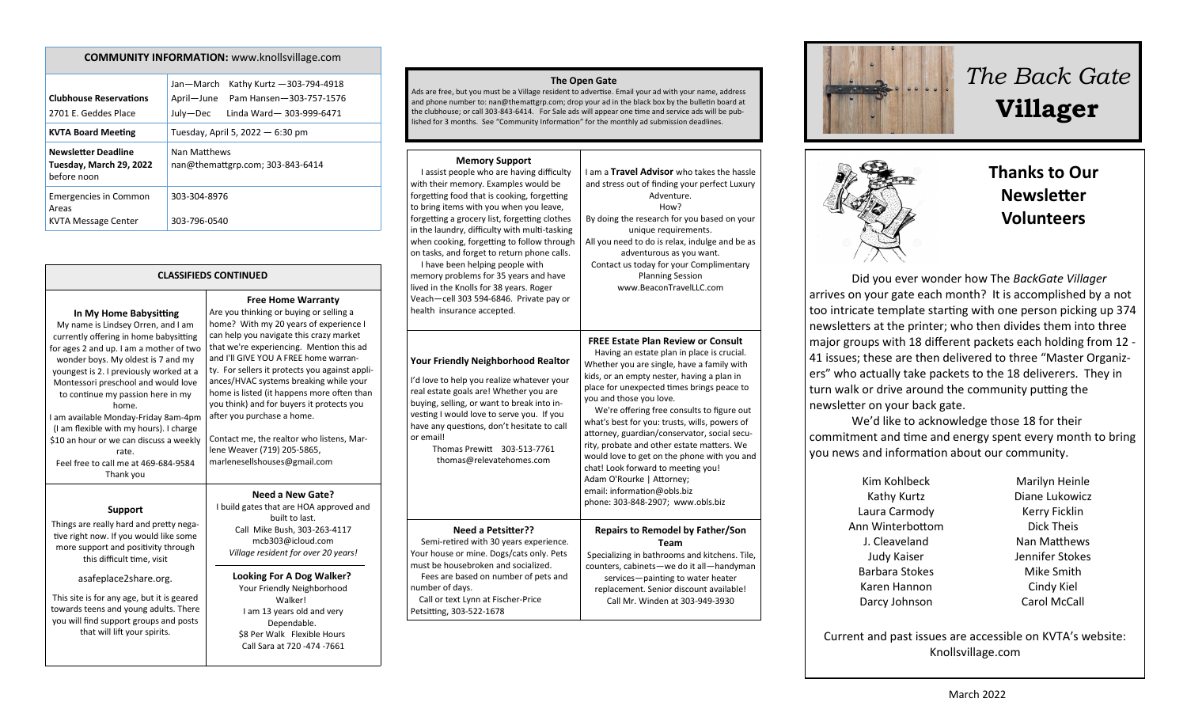| <b>COMMUNITY INFORMATION:</b> www.knollsvillage.com                  |                                                                                                                         |  |
|----------------------------------------------------------------------|-------------------------------------------------------------------------------------------------------------------------|--|
| <b>Clubhouse Reservations</b><br>2701 E. Geddes Place                | Jan-March<br>Kathy Kurtz - 303-794-4918<br>April-June<br>Pam Hansen-303-757-1576<br>July-Dec<br>Linda Ward-303-999-6471 |  |
| <b>KVTA Board Meeting</b>                                            | Tuesday, April 5, 2022 - 6:30 pm                                                                                        |  |
| <b>Newsletter Deadline</b><br>Tuesday, March 29, 2022<br>before noon | Nan Matthews<br>nan@themattgrp.com; 303-843-6414                                                                        |  |
| <b>Emergencies in Common</b><br>Areas<br>KVTA Message Center         | 303-304-8976<br>303-796-0540                                                                                            |  |

| <b>CLASSIFIEDS CONTINUED</b>                                                                                                                                                                                                                                                                                                                                                                                                                                                                                        |                                                                                                                                                                                                                                                                                                                                                                                                                                                                                                                                                                                 |  |
|---------------------------------------------------------------------------------------------------------------------------------------------------------------------------------------------------------------------------------------------------------------------------------------------------------------------------------------------------------------------------------------------------------------------------------------------------------------------------------------------------------------------|---------------------------------------------------------------------------------------------------------------------------------------------------------------------------------------------------------------------------------------------------------------------------------------------------------------------------------------------------------------------------------------------------------------------------------------------------------------------------------------------------------------------------------------------------------------------------------|--|
| In My Home Babysitting<br>My name is Lindsey Orren, and I am<br>currently offering in home babysitting<br>for ages 2 and up. I am a mother of two<br>wonder boys. My oldest is 7 and my<br>youngest is 2. I previously worked at a<br>Montessori preschool and would love<br>to continue my passion here in my<br>home.<br>I am available Monday-Friday 8am-4pm<br>(I am flexible with my hours). I charge<br>\$10 an hour or we can discuss a weekly<br>rate.<br>Feel free to call me at 469-684-9584<br>Thank you | <b>Free Home Warranty</b><br>Are you thinking or buying or selling a<br>home? With my 20 years of experience I<br>can help you navigate this crazy market<br>that we're experiencing. Mention this ad<br>and I'll GIVE YOU A FREE home warran-<br>ty. For sellers it protects you against appli-<br>ances/HVAC systems breaking while your<br>home is listed (it happens more often than<br>you think) and for buyers it protects you<br>after you purchase a home.<br>Contact me, the realtor who listens, Mar-<br>lene Weaver (719) 205-5865,<br>marlenesellshouses@gmail.com |  |
| <b>Support</b>                                                                                                                                                                                                                                                                                                                                                                                                                                                                                                      | Need a New Gate?<br>I build gates that are HOA approved and<br>built to last.                                                                                                                                                                                                                                                                                                                                                                                                                                                                                                   |  |

Things are really hard and pretty negative right now. If you would like some more support and positivity through this difficult time, visit

### asafeplace2share.org.

This site is for any age, but it is geared towards teens and young adults. There you will find support groups and posts that will lift your spirits.

otects you istens, Mare? proved and built to last. Call Mike Bush, 303-263-4117 mcb303@icloud.com *Village resident for over 20 years!*

**Looking For A Dog Walker?** Your Friendly Neighborhood Walker! I am 13 years old and very Dependable. \$8 Per Walk Flexible Hours Call Sara at 720 -474 -7661

#### **The Open Gate**

Ads are free, but you must be a Village resident to advertise. Email your ad with your name, address and phone number to: nan@themattgrp.com; drop your ad in the black box by the bulletin board at the clubhouse; or call 303-843-6414. For Sale ads will appear one time and service ads will be published for 3 months. See "Community Information" for the monthly ad submission deadlines.

### **Memory Support**

| I assist people who are having difficulty<br>with their memory. Examples would be<br>forgetting food that is cooking, forgetting<br>to bring items with you when you leave,<br>forgetting a grocery list, forgetting clothes<br>in the laundry, difficulty with multi-tasking<br>when cooking, forgetting to follow through<br>on tasks, and forget to return phone calls.<br>I have been helping people with<br>memory problems for 35 years and have<br>lived in the Knolls for 38 years. Roger<br>Veach-cell 303 594-6846. Private pay or<br>health insurance accepted. | I am a Travel Advisor who takes the hassle<br>and stress out of finding your perfect Luxury<br>Adventure.<br>How?<br>By doing the research for you based on your<br>unique requirements.<br>All you need to do is relax, indulge and be as<br>adventurous as you want.<br>Contact us today for your Complimentary<br><b>Planning Session</b><br>www.BeaconTravelLLC.com                                                                                                                                                                                                                                                                         |
|----------------------------------------------------------------------------------------------------------------------------------------------------------------------------------------------------------------------------------------------------------------------------------------------------------------------------------------------------------------------------------------------------------------------------------------------------------------------------------------------------------------------------------------------------------------------------|-------------------------------------------------------------------------------------------------------------------------------------------------------------------------------------------------------------------------------------------------------------------------------------------------------------------------------------------------------------------------------------------------------------------------------------------------------------------------------------------------------------------------------------------------------------------------------------------------------------------------------------------------|
| <b>Your Friendly Neighborhood Realtor</b><br>I'd love to help you realize whatever your<br>real estate goals are! Whether you are<br>buying, selling, or want to break into in-<br>vesting I would love to serve you. If you<br>have any questions, don't hesitate to call<br>or email!<br>Thomas Prewitt<br>303-513-7761<br>thomas@relevatehomes.com                                                                                                                                                                                                                      | <b>FREE Estate Plan Review or Consult</b><br>Having an estate plan in place is crucial.<br>Whether you are single, have a family with<br>kids, or an empty nester, having a plan in<br>place for unexpected times brings peace to<br>you and those you love.<br>We're offering free consults to figure out<br>what's best for you: trusts, wills, powers of<br>attorney, guardian/conservator, social secu-<br>rity, probate and other estate matters. We<br>would love to get on the phone with you and<br>chat! Look forward to meeting you!<br>Adam O'Rourke   Attorney;<br>email: information@obls.biz<br>phone: 303-848-2907; www.obls.biz |
| <b>Need a Petsitter??</b><br>Semi-retired with 30 years experience.<br>Your house or mine. Dogs/cats only. Pets<br>must be housebroken and socialized.<br>Fees are based on number of pets and<br>number of days.<br>Call or text Lynn at Fischer-Price<br>Petsitting, 303-522-1678                                                                                                                                                                                                                                                                                        | <b>Repairs to Remodel by Father/Son</b><br>Team<br>Specializing in bathrooms and kitchens. Tile,<br>counters, cabinets-we do it all-handyman<br>services-painting to water heater<br>replacement. Senior discount available!<br>Call Mr. Winden at 303-949-3930                                                                                                                                                                                                                                                                                                                                                                                 |







## **Thanks to Our Newsletter Volunteers**

Did you ever wonder how The *BackGate Villager* arrives on your gate each month? It is accomplished by a not too intricate template starting with one person picking up 374 newsletters at the printer; who then divides them into three major groups with 18 different packets each holding from 12 - 41 issues; these are then delivered to three "Master Organizers" who actually take packets to the 18 deliverers. They in turn walk or drive around the community putting the newsletter on your back gate.

We'd like to acknowledge those 18 for their commitment and time and energy spent every month to bring you news and information about our community.

> Kim Kohlbeck Kathy Kurtz Laura Carmody Ann Winterbottom J. Cleaveland Judy Kaiser Barbara Stokes Karen Hannon Darcy Johnson

Marilyn Heinle Diane Lukowicz Kerry Ficklin Dick Theis Nan Matthews Jennifer Stokes Mike Smith Cindy Kiel Carol McCall

Current and past issues are accessible on KVTA's website: Knollsvillage.com